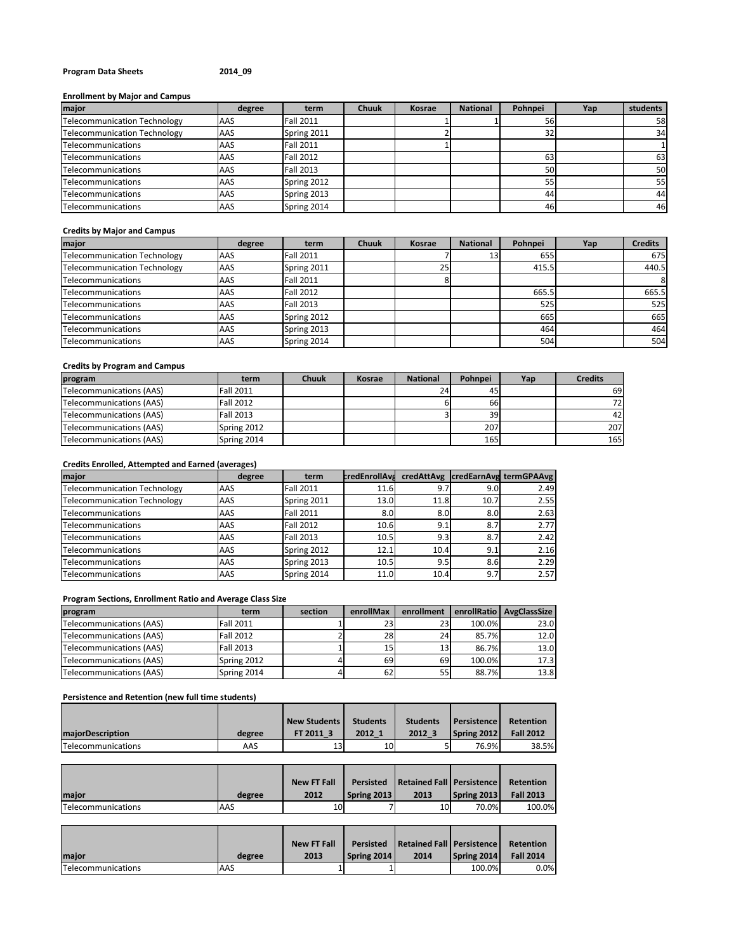## **Program Data Sheets 2014\_09**

# **Enrollment by Major and Campus**

| major                        | degree | term             | <b>Chuuk</b> | Kosrae | <b>National</b> | Pohnpei | Yap | students |
|------------------------------|--------|------------------|--------------|--------|-----------------|---------|-----|----------|
| Telecommunication Technology | AAS    | Fall 2011        |              |        |                 | 561     |     | 58       |
| Telecommunication Technology | AAS    | Spring 2011      |              |        |                 | 32      |     | 34       |
| Telecommunications           | AAS    | <b>Fall 2011</b> |              |        |                 |         |     |          |
| Telecommunications           | AAS    | <b>Fall 2012</b> |              |        |                 | 63      |     | 63       |
| Telecommunications           | AAS    | <b>Fall 2013</b> |              |        |                 | 50      |     | 50       |
| Telecommunications           | AAS    | Spring 2012      |              |        |                 | 55      |     | 55       |
| Telecommunications           | AAS    | Spring 2013      |              |        |                 | 44      |     | 44       |
| Telecommunications           | AAS    | Spring 2014      |              |        |                 | 46      |     | 46       |

## **Credits by Major and Campus**

| major                        | degree | term             | <b>Chuuk</b> | Kosrae | <b>National</b> | Pohnpei | Yap | <b>Credits</b> |
|------------------------------|--------|------------------|--------------|--------|-----------------|---------|-----|----------------|
| Telecommunication Technology | AAS    | Fall 2011        |              |        | 13 <sup>1</sup> | 655     |     | 675            |
| Telecommunication Technology | AAS    | Spring 2011      |              | 25     |                 | 415.5   |     | 440.5          |
| Telecommunications           | AAS    | <b>Fall 2011</b> |              |        |                 |         |     | 8              |
| Telecommunications           | AAS    | <b>Fall 2012</b> |              |        |                 | 665.5   |     | 665.5          |
| Telecommunications           | AAS    | Fall 2013        |              |        |                 | 525     |     | 525            |
| Telecommunications           | AAS    | Spring 2012      |              |        |                 | 665     |     | 665            |
| Telecommunications           | AAS    | Spring 2013      |              |        |                 | 464     |     | 464            |
| Telecommunications           | AAS    | Spring 2014      |              |        |                 | 504     |     | 504            |

## **Credits by Program and Campus**

| program                  | term             | <b>Chuuk</b> | Kosrae | <b>National</b> | Pohnpei | Yap | <b>Credits</b> |
|--------------------------|------------------|--------------|--------|-----------------|---------|-----|----------------|
| Telecommunications (AAS) | <b>Fall 2011</b> |              |        | 24              | 45      |     | 69             |
| Telecommunications (AAS) | <b>Fall 2012</b> |              |        |                 | 66I     |     | 72             |
| Telecommunications (AAS) | <b>Fall 2013</b> |              |        |                 | 39      |     | 42             |
| Telecommunications (AAS) | Spring 2012      |              |        |                 | 207     |     | 207            |
| Telecommunications (AAS) | Spring 2014      |              |        |                 | 165     |     | 165            |

# **Credits Enrolled, Attempted and Earned (averages)**

| major                               | degree | term             | <b>credEnrollAva</b> |      |                  | credAttAvg  credEarnAvg termGPAAvg |
|-------------------------------------|--------|------------------|----------------------|------|------------------|------------------------------------|
| <b>Telecommunication Technology</b> | AAS    | <b>Fall 2011</b> | 11.6                 | 9.7  | 9.0 <sub>l</sub> | 2.49                               |
| <b>Telecommunication Technology</b> | AAS    | Spring 2011      | 13.0                 | 11.8 | 10.7             | 2.55                               |
| Telecommunications                  | AAS    | <b>Fall 2011</b> | 8.0 <sub>l</sub>     | 8.0  | 8.0              | 2.63                               |
| Telecommunications                  | AAS    | <b>Fall 2012</b> | 10.6                 | 9.1  | 8.7              | 2.77                               |
| Telecommunications                  | AAS    | <b>Fall 2013</b> | 10.5                 | 9.3  | 8.7              | 2.42                               |
| Telecommunications                  | AAS    | Spring 2012      | 12.1                 | 10.4 | 9.1              | 2.16                               |
| Telecommunications                  | AAS    | Spring 2013      | 10.5                 | 9.5  | 8.6              | 2.29                               |
| <b>Telecommunications</b>           | AAS    | Spring 2014      | 11.0                 | 10.4 | 9.7              | 2.57                               |

### **Program Sections, Enrollment Ratio and Average Class Size**

| program                  | term             | section | enrollMax | enrollment |        | enrollRatio   AvgClassSize |
|--------------------------|------------------|---------|-----------|------------|--------|----------------------------|
| Telecommunications (AAS) | <b>Fall 2011</b> |         | 23        | 23         | 100.0% | 23.0                       |
| Telecommunications (AAS) | <b>Fall 2012</b> |         | 28        | 24         | 85.7%  | 12.0                       |
| Telecommunications (AAS) | <b>Fall 2013</b> |         | 15        | 13         | 86.7%  | 13.0                       |
| Telecommunications (AAS) | Spring 2012      |         | 69        | 69         | 100.0% | 17.3                       |
| Telecommunications (AAS) | Spring 2014      |         | 62        | 55         | 88.7%  | 13.8                       |

### **Persistence and Retention (new full time students)**

| <b>majorDescription</b> | degree | <b>New Students</b><br>FT 2011 3 | <b>Students</b><br>2012 1 | <b>Students</b><br>2012 3 | Persistence I<br>Spring 2012 | Retention<br><b>Fall 2012</b> |
|-------------------------|--------|----------------------------------|---------------------------|---------------------------|------------------------------|-------------------------------|
| Telecommunications      | AAS    | 13                               | 10                        |                           | 76.9%                        | 38.5%                         |

 $\overline{a}$ 

| major                     | degree | <b>New FT Fall</b><br>2012 | Persisted<br><b>Spring 2013</b> | Retained Fall   Persistence<br>2013 | Spring 2013 | Retention<br><b>Fall 2013</b> |
|---------------------------|--------|----------------------------|---------------------------------|-------------------------------------|-------------|-------------------------------|
| <b>Telecommunications</b> | AAS    | 10                         |                                 | 10                                  | 70.0%       | 100.0%                        |

 $\overline{a}$ 

÷

|                           |        | <b>New FT Fall</b> | Persisted   | Retained Fall   Persistence |             | Retention        |
|---------------------------|--------|--------------------|-------------|-----------------------------|-------------|------------------|
| major                     | degree | 2013               | Spring 2014 | 2014                        | Spring 2014 | <b>Fall 2014</b> |
| <b>Telecommunications</b> | AAS    |                    |             |                             | 100.0%      | $0.0\%$          |